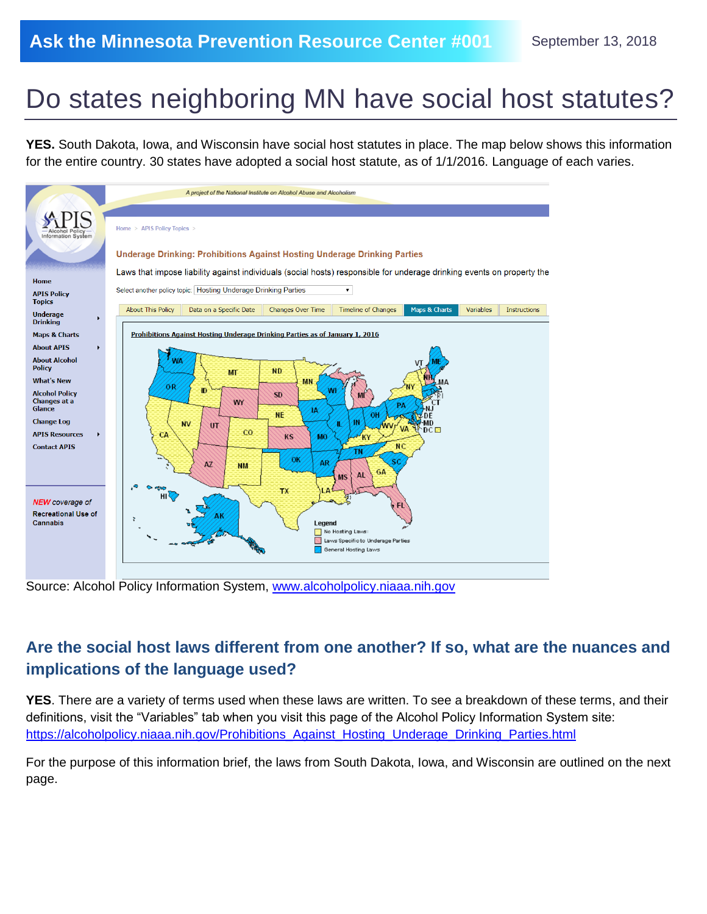## Do states neighboring MN have social host statutes?

**YES.** South Dakota, Iowa, and Wisconsin have social host statutes in place. The map below shows this information for the entire country. 30 states have adopted a social host statute, as of 1/1/2016. Language of each varies.



Source: Alcohol Policy Information System, [www.alcoholpolicy.niaaa.nih.gov](http://www.alcoholpolicy.niaaa.nih.gov/)

## **Are the social host laws different from one another? If so, what are the nuances and implications of the language used?**

**YES**. There are a variety of terms used when these laws are written. To see a breakdown of these terms, and their definitions, visit the "Variables" tab when you visit this page of the Alcohol Policy Information System site: https://alcoholpolicy.niaaa.nih.gov/Prohibitions Against Hosting Underage Drinking Parties.html

For the purpose of this information brief, the laws from South Dakota, Iowa, and Wisconsin are outlined on the next page.